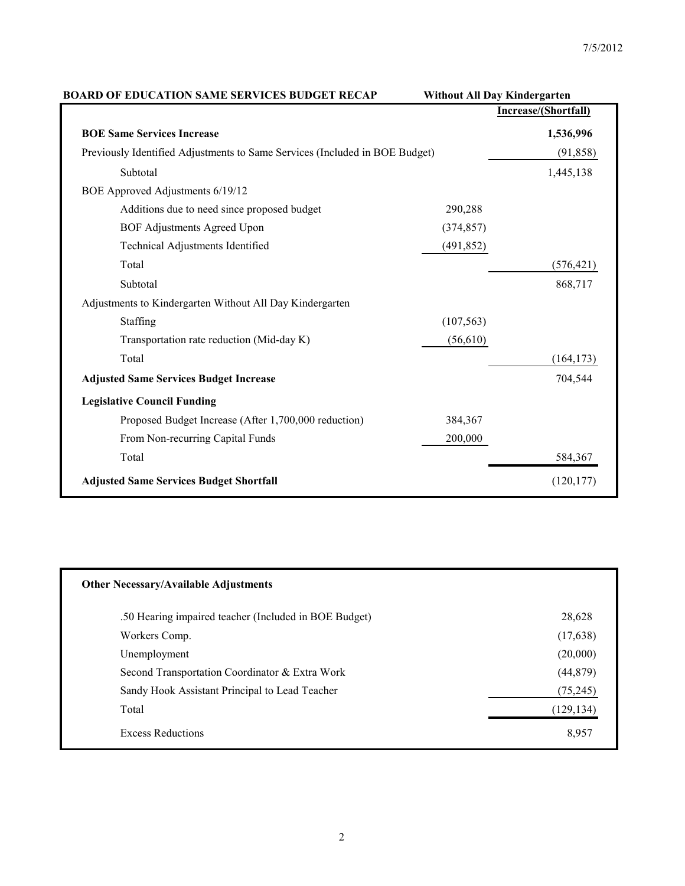| <b>BOARD OF EDUCATION SAME SERVICES BUDGET RECAP</b>                        | <b>Without All Day Kindergarten</b> |                      |  |  |
|-----------------------------------------------------------------------------|-------------------------------------|----------------------|--|--|
|                                                                             |                                     | Increase/(Shortfall) |  |  |
| <b>BOE Same Services Increase</b>                                           |                                     | 1,536,996            |  |  |
| Previously Identified Adjustments to Same Services (Included in BOE Budget) |                                     | (91, 858)            |  |  |
| Subtotal                                                                    |                                     | 1,445,138            |  |  |
| BOE Approved Adjustments 6/19/12                                            |                                     |                      |  |  |
| Additions due to need since proposed budget                                 | 290,288                             |                      |  |  |
| <b>BOF Adjustments Agreed Upon</b>                                          | (374, 857)                          |                      |  |  |
| Technical Adjustments Identified                                            | (491, 852)                          |                      |  |  |
| Total                                                                       |                                     | (576, 421)           |  |  |
| Subtotal                                                                    |                                     | 868,717              |  |  |
| Adjustments to Kindergarten Without All Day Kindergarten                    |                                     |                      |  |  |
| Staffing                                                                    | (107, 563)                          |                      |  |  |
| Transportation rate reduction (Mid-day K)                                   | (56, 610)                           |                      |  |  |
| Total                                                                       |                                     | (164, 173)           |  |  |
| <b>Adjusted Same Services Budget Increase</b>                               |                                     | 704,544              |  |  |
| <b>Legislative Council Funding</b>                                          |                                     |                      |  |  |
| Proposed Budget Increase (After 1,700,000 reduction)                        | 384,367                             |                      |  |  |
| From Non-recurring Capital Funds                                            | 200,000                             |                      |  |  |
| Total                                                                       |                                     | 584,367              |  |  |
| <b>Adjusted Same Services Budget Shortfall</b>                              |                                     | (120, 177)           |  |  |
|                                                                             |                                     |                      |  |  |

| <b>Other Necessary/Available Adjustments</b>          |            |  |  |  |  |  |
|-------------------------------------------------------|------------|--|--|--|--|--|
| .50 Hearing impaired teacher (Included in BOE Budget) | 28,628     |  |  |  |  |  |
| Workers Comp.                                         | (17, 638)  |  |  |  |  |  |
| Unemployment                                          | (20,000)   |  |  |  |  |  |
| Second Transportation Coordinator & Extra Work        | (44, 879)  |  |  |  |  |  |
| Sandy Hook Assistant Principal to Lead Teacher        | (75, 245)  |  |  |  |  |  |
| Total                                                 | (129, 134) |  |  |  |  |  |
| <b>Excess Reductions</b>                              | 8,957      |  |  |  |  |  |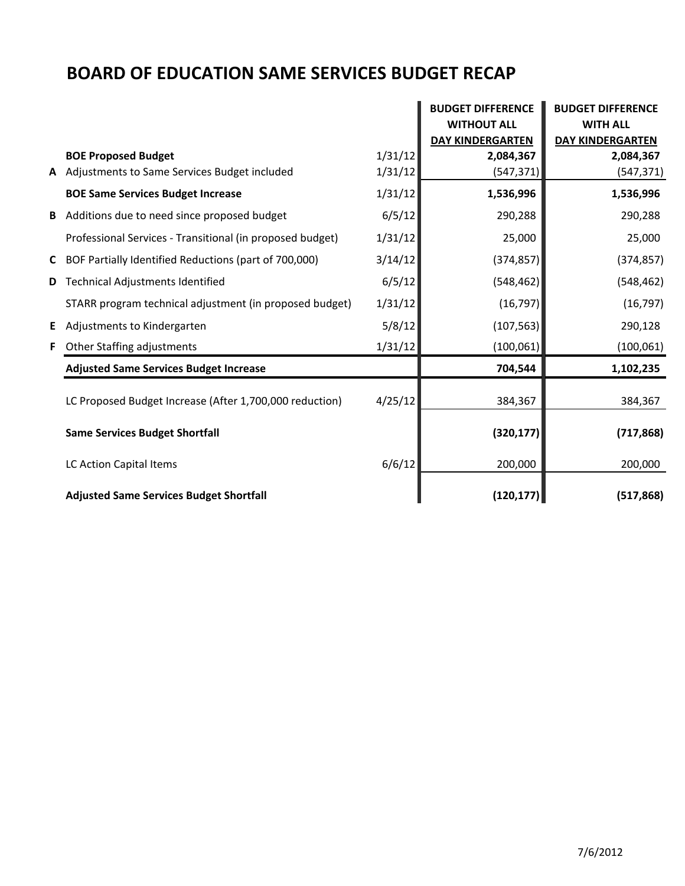## **BOARD OF EDUCATION SAME SERVICES BUDGET RECAP**

|    |                                                           |         | <b>BUDGET DIFFERENCE</b> | <b>BUDGET DIFFERENCE</b> |  |
|----|-----------------------------------------------------------|---------|--------------------------|--------------------------|--|
|    |                                                           |         | <b>WITHOUT ALL</b>       | <b>WITH ALL</b>          |  |
|    |                                                           |         | <b>DAY KINDERGARTEN</b>  | <b>DAY KINDERGARTEN</b>  |  |
|    | <b>BOE Proposed Budget</b>                                | 1/31/12 | 2,084,367                | 2,084,367                |  |
|    | A Adjustments to Same Services Budget included            | 1/31/12 | (547, 371)               | (547, 371)               |  |
|    | <b>BOE Same Services Budget Increase</b>                  | 1/31/12 | 1,536,996                | 1,536,996                |  |
| B  | Additions due to need since proposed budget               | 6/5/12  | 290,288                  | 290,288                  |  |
|    | Professional Services - Transitional (in proposed budget) | 1/31/12 | 25,000                   | 25,000                   |  |
| C  | BOF Partially Identified Reductions (part of 700,000)     | 3/14/12 | (374, 857)               | (374, 857)               |  |
| D  | <b>Technical Adjustments Identified</b>                   | 6/5/12  | (548, 462)               | (548, 462)               |  |
|    | STARR program technical adjustment (in proposed budget)   | 1/31/12 | (16, 797)                | (16, 797)                |  |
| E. | Adjustments to Kindergarten                               | 5/8/12  | (107, 563)               | 290,128                  |  |
| F. | Other Staffing adjustments                                | 1/31/12 | (100, 061)               | (100, 061)               |  |
|    | <b>Adjusted Same Services Budget Increase</b>             |         | 704,544                  | 1,102,235                |  |
|    | LC Proposed Budget Increase (After 1,700,000 reduction)   | 4/25/12 | 384,367                  | 384,367                  |  |
|    | <b>Same Services Budget Shortfall</b>                     |         | (320, 177)               | (717, 868)               |  |
|    | LC Action Capital Items                                   | 6/6/12  | 200,000                  | 200,000                  |  |
|    | <b>Adjusted Same Services Budget Shortfall</b>            |         | (120, 177)               | (517, 868)               |  |